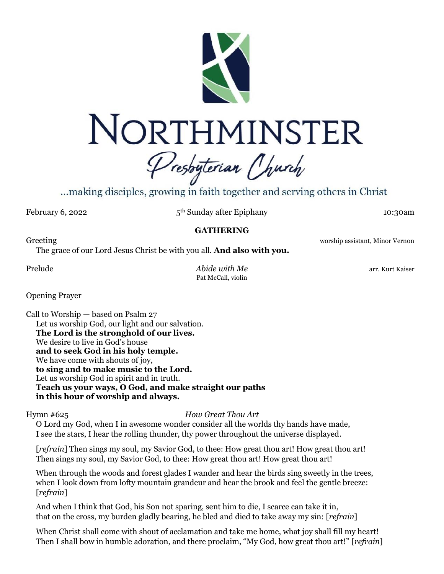

NORTHMINSTER

Presbyterian Church

# ...making disciples, growing in faith together and serving others in Christ

February  $6, 2022$ 

5<sup>th</sup> Sunday after Epiphany 10:30am

# **GATHERING**

Greeting worship assistant, Minor Vernon

The grace of our Lord Jesus Christ be with you all. **And also with you.**

**Prelude** and **Abide with Me** and **Abide with Me** arr. Kurt Kaiser Pat McCall, violin

Opening Prayer

Call to Worship — based on Psalm 27 Let us worship God, our light and our salvation. **The Lord is the stronghold of our lives.** We desire to live in God's house **and to seek God in his holy temple.** We have come with shouts of joy, **to sing and to make music to the Lord.** Let us worship God in spirit and in truth. **Teach us your ways, O God, and make straight our paths in this hour of worship and always.**

Hymn #625 *How Great Thou Art*

O Lord my God, when I in awesome wonder consider all the worlds thy hands have made, I see the stars, I hear the rolling thunder, thy power throughout the universe displayed.

[*refrain*] Then sings my soul, my Savior God, to thee: How great thou art! How great thou art! Then sings my soul, my Savior God, to thee: How great thou art! How great thou art!

When through the woods and forest glades I wander and hear the birds sing sweetly in the trees, when I look down from lofty mountain grandeur and hear the brook and feel the gentle breeze: [*refrain*]

And when I think that God, his Son not sparing, sent him to die, I scarce can take it in, that on the cross, my burden gladly bearing, he bled and died to take away my sin: [*refrain*]

When Christ shall come with shout of acclamation and take me home, what joy shall fill my heart! Then I shall bow in humble adoration, and there proclaim, "My God, how great thou art!" [*refrain*]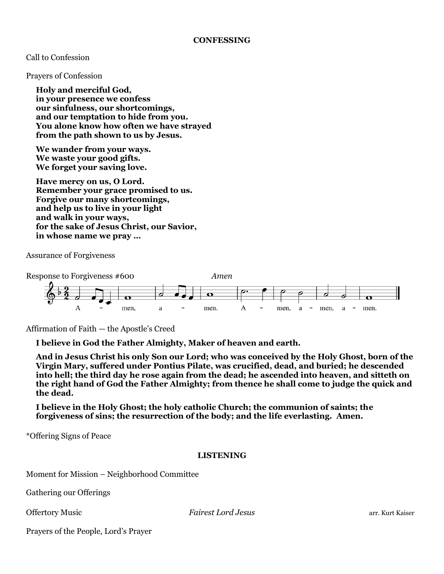Call to Confession

Prayers of Confession

**Holy and merciful God, in your presence we confess our sinfulness, our shortcomings, and our temptation to hide from you. You alone know how often we have strayed from the path shown to us by Jesus.**

**We wander from your ways. We waste your good gifts. We forget your saving love.**

**Have mercy on us, O Lord. Remember your grace promised to us. Forgive our many shortcomings, and help us to live in your light and walk in your ways, for the sake of Jesus Christ, our Savior, in whose name we pray …**

Assurance of Forgiveness



Affirmation of Faith — the Apostle's Creed

**I believe in God the Father Almighty, Maker of heaven and earth.**

**And in Jesus Christ his only Son our Lord; who was conceived by the Holy Ghost, born of the Virgin Mary, suffered under Pontius Pilate, was crucified, dead, and buried; he descended into hell; the third day he rose again from the dead; he ascended into heaven, and sitteth on the right hand of God the Father Almighty; from thence he shall come to judge the quick and the dead.**

**I believe in the Holy Ghost; the holy catholic Church; the communion of saints; the forgiveness of sins; the resurrection of the body; and the life everlasting. Amen.**

\*Offering Signs of Peace

# **LISTENING**

Moment for Mission – Neighborhood Committee

Gathering our Offerings

Offertory Music *Fairest Lord Jesus* arr. Kurt Kaiser

Prayers of the People, Lord's Prayer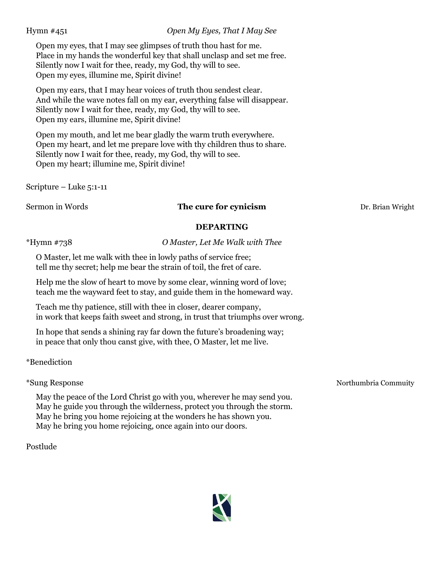# Hymn #451 *Open My Eyes, That I May See*

Open my eyes, that I may see glimpses of truth thou hast for me. Place in my hands the wonderful key that shall unclasp and set me free. Silently now I wait for thee, ready, my God, thy will to see. Open my eyes, illumine me, Spirit divine!

Open my ears, that I may hear voices of truth thou sendest clear. And while the wave notes fall on my ear, everything false will disappear. Silently now I wait for thee, ready, my God, thy will to see. Open my ears, illumine me, Spirit divine!

Open my mouth, and let me bear gladly the warm truth everywhere. Open my heart, and let me prepare love with thy children thus to share. Silently now I wait for thee, ready, my God, thy will to see. Open my heart; illumine me, Spirit divine!

Scripture – Luke 5:1-11

#### Sermon in Words **The cure for cynicism** Dr. Brian Wright

# **DEPARTING**

\*Hymn #738 *O Master, Let Me Walk with Thee*

O Master, let me walk with thee in lowly paths of service free; tell me thy secret; help me bear the strain of toil, the fret of care.

Help me the slow of heart to move by some clear, winning word of love; teach me the wayward feet to stay, and guide them in the homeward way.

Teach me thy patience, still with thee in closer, dearer company, in work that keeps faith sweet and strong, in trust that triumphs over wrong.

In hope that sends a shining ray far down the future's broadening way; in peace that only thou canst give, with thee, O Master, let me live.

\*Benediction

May the peace of the Lord Christ go with you, wherever he may send you. May he guide you through the wilderness, protect you through the storm. May he bring you home rejoicing at the wonders he has shown you. May he bring you home rejoicing, once again into our doors.

Postlude



\*Sung Response Northumbria Commuity